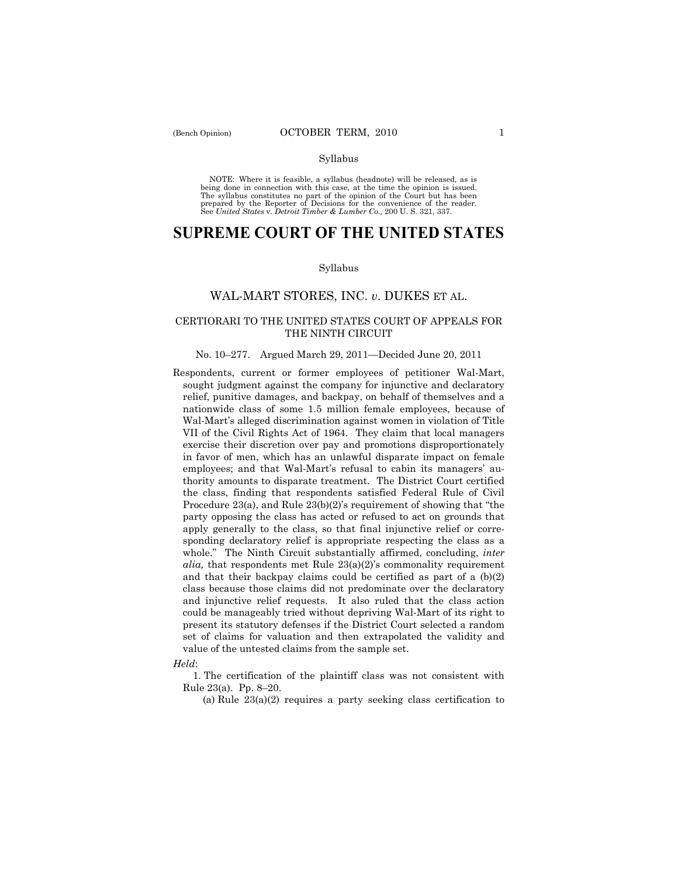NOTE: Where it is feasible, a syllabus (headnote) will be released, as is being done in connection with this case, at the time the opinion is issued. The syllabus constitutes no part of the opinion of the Court but has been<br>prepared by the Reporter of Decisions for the convenience of the reader.<br>See United States v. Detroit Timber & Lumber Co., 200 U. S. 321, 337.

# **SUPREME COURT OF THE UNITED STATES**

#### Syllabus

## WAL-MART STORES, INC. *v*. DUKES ET AL.

## CERTIORARI TO THE UNITED STATES COURT OF APPEALS FOR THE NINTH CIRCUIT

#### No. 10–277. Argued March 29, 2011—Decided June 20, 2011

Respondents, current or former employees of petitioner Wal-Mart, sought judgment against the company for injunctive and declaratory relief, punitive damages, and backpay, on behalf of themselves and a nationwide class of some 1.5 million female employees, because of Wal-Mart's alleged discrimination against women in violation of Title VII of the Civil Rights Act of 1964. They claim that local managers exercise their discretion over pay and promotions disproportionately in favor of men, which has an unlawful disparate impact on female employees; and that Wal-Mart's refusal to cabin its managers' authority amounts to disparate treatment. The District Court certified the class, finding that respondents satisfied Federal Rule of Civil Procedure 23(a), and Rule 23(b)(2)'s requirement of showing that "the party opposing the class has acted or refused to act on grounds that apply generally to the class, so that final injunctive relief or corresponding declaratory relief is appropriate respecting the class as a whole." The Ninth Circuit substantially affirmed, concluding, *inter alia,* that respondents met Rule 23(a)(2)'s commonality requirement and that their backpay claims could be certified as part of a (b)(2) class because those claims did not predominate over the declaratory and injunctive relief requests. It also ruled that the class action could be manageably tried without depriving Wal-Mart of its right to present its statutory defenses if the District Court selected a random set of claims for valuation and then extrapolated the validity and value of the untested claims from the sample set.

#### *Held*:

 1. The certification of the plaintiff class was not consistent with Rule 23(a). Pp. 8–20.

(a) Rule 23(a)(2) requires a party seeking class certification to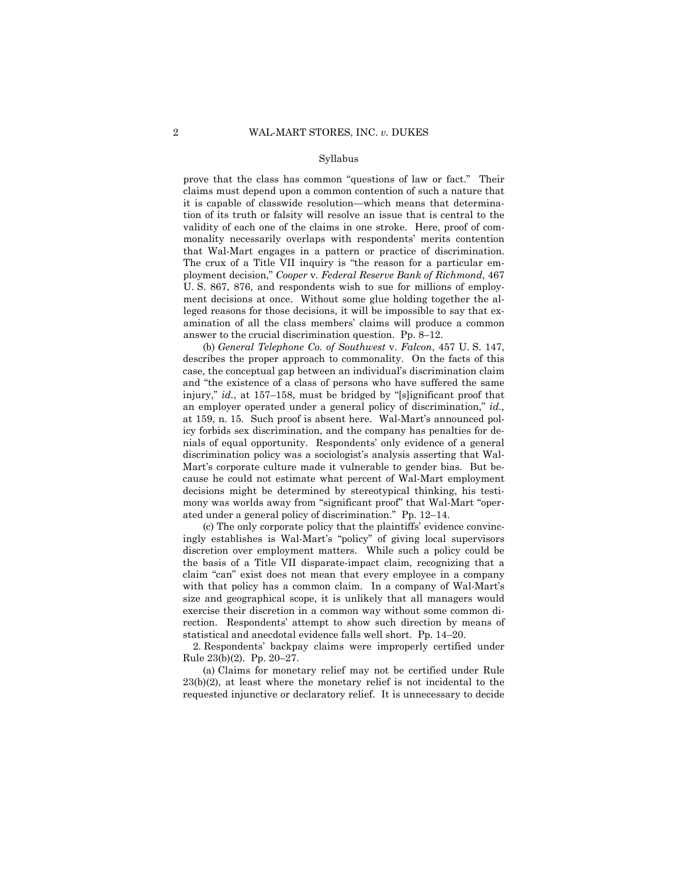prove that the class has common "questions of law or fact." Their claims must depend upon a common contention of such a nature that it is capable of classwide resolution—which means that determination of its truth or falsity will resolve an issue that is central to the validity of each one of the claims in one stroke. Here, proof of commonality necessarily overlaps with respondents' merits contention that Wal-Mart engages in a pattern or practice of discrimination. The crux of a Title VII inquiry is "the reason for a particular employment decision," *Cooper* v. *Federal Reserve Bank of Richmond*, 467 U. S. 867, 876, and respondents wish to sue for millions of employment decisions at once. Without some glue holding together the alleged reasons for those decisions, it will be impossible to say that examination of all the class members' claims will produce a common answer to the crucial discrimination question. Pp. 8–12.

 (b) *General Telephone Co. of Southwest* v. *Falcon*, 457 U. S. 147, describes the proper approach to commonality. On the facts of this case, the conceptual gap between an individual's discrimination claim and "the existence of a class of persons who have suffered the same injury," *id.*, at 157–158, must be bridged by "[s]ignificant proof that an employer operated under a general policy of discrimination," *id.,* at 159, n. 15. Such proof is absent here. Wal-Mart's announced policy forbids sex discrimination, and the company has penalties for denials of equal opportunity. Respondents' only evidence of a general discrimination policy was a sociologist's analysis asserting that Wal-Mart's corporate culture made it vulnerable to gender bias. But because he could not estimate what percent of Wal-Mart employment decisions might be determined by stereotypical thinking, his testimony was worlds away from "significant proof" that Wal-Mart "operated under a general policy of discrimination." Pp. 12–14.

 (c) The only corporate policy that the plaintiffs' evidence convincingly establishes is Wal-Mart's "policy" of giving local supervisors discretion over employment matters. While such a policy could be the basis of a Title VII disparate-impact claim, recognizing that a claim "can" exist does not mean that every employee in a company with that policy has a common claim. In a company of Wal-Mart's size and geographical scope, it is unlikely that all managers would exercise their discretion in a common way without some common direction. Respondents' attempt to show such direction by means of statistical and anecdotal evidence falls well short. Pp. 14–20.

 2. Respondents' backpay claims were improperly certified under Rule 23(b)(2). Pp. 20–27.

 (a) Claims for monetary relief may not be certified under Rule 23(b)(2), at least where the monetary relief is not incidental to the requested injunctive or declaratory relief. It is unnecessary to decide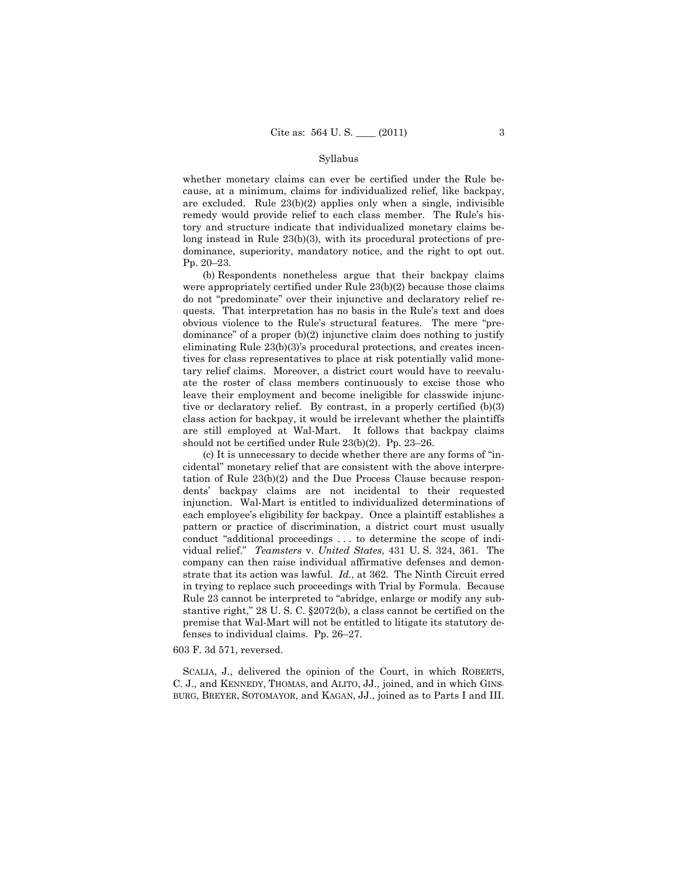whether monetary claims can ever be certified under the Rule because, at a minimum, claims for individualized relief, like backpay, are excluded. Rule 23(b)(2) applies only when a single, indivisible remedy would provide relief to each class member. The Rule's history and structure indicate that individualized monetary claims belong instead in Rule 23(b)(3), with its procedural protections of predominance, superiority, mandatory notice, and the right to opt out. Pp. 20–23.

 (b) Respondents nonetheless argue that their backpay claims were appropriately certified under Rule 23(b)(2) because those claims do not "predominate" over their injunctive and declaratory relief requests. That interpretation has no basis in the Rule's text and does obvious violence to the Rule's structural features. The mere "predominance" of a proper (b)(2) injunctive claim does nothing to justify eliminating Rule 23(b)(3)'s procedural protections, and creates incentives for class representatives to place at risk potentially valid monetary relief claims. Moreover, a district court would have to reevaluate the roster of class members continuously to excise those who leave their employment and become ineligible for classwide injunctive or declaratory relief. By contrast, in a properly certified (b)(3) class action for backpay, it would be irrelevant whether the plaintiffs are still employed at Wal-Mart. It follows that backpay claims should not be certified under Rule 23(b)(2). Pp. 23–26.

 (c) It is unnecessary to decide whether there are any forms of "incidental" monetary relief that are consistent with the above interpretation of Rule 23(b)(2) and the Due Process Clause because respondents' backpay claims are not incidental to their requested injunction. Wal-Mart is entitled to individualized determinations of each employee's eligibility for backpay. Once a plaintiff establishes a pattern or practice of discrimination, a district court must usually conduct "additional proceedings . . . to determine the scope of individual relief." *Teamsters* v. *United States*, 431 U. S. 324, 361. The company can then raise individual affirmative defenses and demonstrate that its action was lawful. *Id.*, at 362. The Ninth Circuit erred in trying to replace such proceedings with Trial by Formula. Because Rule 23 cannot be interpreted to "abridge, enlarge or modify any substantive right," 28 U. S. C. §2072(b), a class cannot be certified on the premise that Wal-Mart will not be entitled to litigate its statutory defenses to individual claims. Pp. 26–27.

#### 603 F. 3d 571, reversed.

 SCALIA, J., delivered the opinion of the Court, in which ROBERTS, C. J., and KENNEDY, THOMAS, and ALITO, JJ., joined, and in which GINS-BURG, BREYER, SOTOMAYOR, and KAGAN, JJ., joined as to Parts I and III.